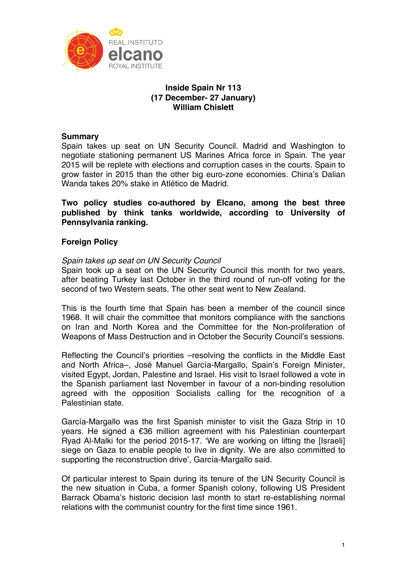

# **Inside Spain Nr 113 (17 December- 27 January) William Chislett**

# **Summary**

Spain takes up seat on UN Security Council. Madrid and Washington to negotiate stationing permanent US Marines Africa force in Spain. The year 2015 will be replete with elections and corruption cases in the courts. Spain to grow faster in 2015 than the other big euro-zone economies. China's Dalian Wanda takes 20% stake in Atlético de Madrid.

**Two policy studies co-authored by Elcano, among the best three published by think tanks worldwide, according to University of Pennsylvania ranking.** 

## **Foreign Policy**

## *Spain takes up seat on UN Security Council*

Spain took up a seat on the UN Security Council this month for two years, after beating Turkey last October in the third round of run-off voting for the second of two Western seats. The other seat went to New Zealand.

This is the fourth time that Spain has been a member of the council since 1968. It will chair the committee that monitors compliance with the sanctions on Iran and North Korea and the Committee for the Non-proliferation of Weapons of Mass Destruction and in October the Security Council's sessions.

Reflecting the Council's priorities –resolving the conflicts in the Middle East and North Africa–, José Manuel García-Margallo, Spain's Foreign Minister, visited Egypt, Jordan, Palestine and Israel. His visit to Israel followed a vote in the Spanish parliament last November in favour of a non-binding resolution agreed with the opposition Socialists calling for the recognition of a Palestinian state.

García-Margallo was the first Spanish minister to visit the Gaza Strip in 10 years. He signed a €36 million agreement with his Palestinian counterpart Ryad Al-Malki for the period 2015-17. 'We are working on lifting the [Israeli] siege on Gaza to enable people to live in dignity. We are also committed to supporting the reconstruction drive', García-Margallo said.

Of particular interest to Spain during its tenure of the UN Security Council is the new situation in Cuba, a former Spanish colony, following US President Barrack Obama's historic decision last month to start re-establishing normal relations with the communist country for the first time since 1961.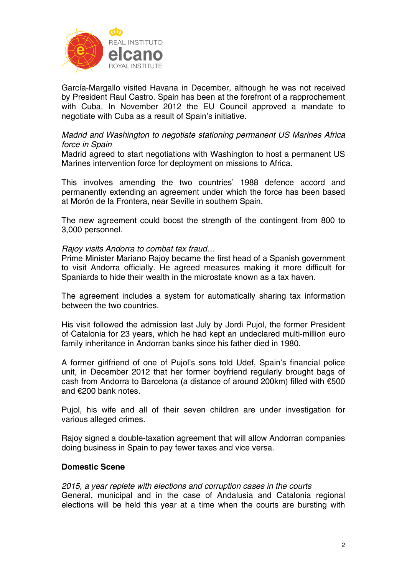

García-Margallo visited Havana in December, although he was not received by President Raul Castro. Spain has been at the forefront of a rapprochement with Cuba. In November 2012 the EU Council approved a mandate to negotiate with Cuba as a result of Spain's initiative.

### *Madrid and Washington to negotiate stationing permanent US Marines Africa force in Spain*

Madrid agreed to start negotiations with Washington to host a permanent US Marines intervention force for deployment on missions to Africa.

This involves amending the two countries' 1988 defence accord and permanently extending an agreement under which the force has been based at Morón de la Frontera, near Seville in southern Spain.

The new agreement could boost the strength of the contingent from 800 to 3,000 personnel.

### *Rajoy visits Andorra to combat tax fraud…*

Prime Minister Mariano Rajoy became the first head of a Spanish government to visit Andorra officially. He agreed measures making it more difficult for Spaniards to hide their wealth in the microstate known as a tax haven.

The agreement includes a system for automatically sharing tax information between the two countries.

His visit followed the admission last July by Jordi Pujol, the former President of Catalonia for 23 years, which he had kept an undeclared multi-million euro family inheritance in Andorran banks since his father died in 1980.

A former girlfriend of one of Pujol's sons told Udef, Spain's financial police unit, in December 2012 that her former boyfriend regularly brought bags of cash from Andorra to Barcelona (a distance of around 200km) filled with €500 and €200 bank notes.

Pujol, his wife and all of their seven children are under investigation for various alleged crimes.

Rajoy signed a double-taxation agreement that will allow Andorran companies doing business in Spain to pay fewer taxes and vice versa.

### **Domestic Scene**

*2015, a year replete with elections and corruption cases in the courts*  General, municipal and in the case of Andalusia and Catalonia regional elections will be held this year at a time when the courts are bursting with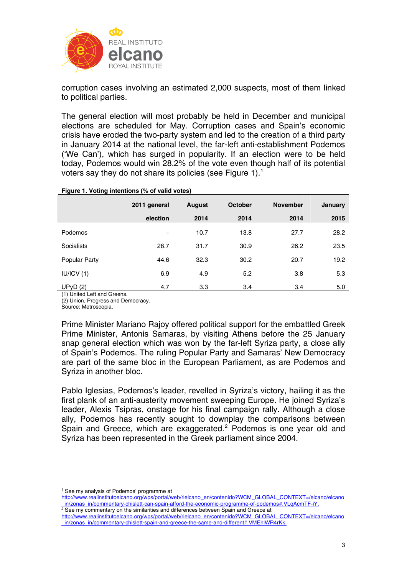

corruption cases involving an estimated 2,000 suspects, most of them linked to political parties.

The general election will most probably be held in December and municipal elections are scheduled for May. Corruption cases and Spain's economic crisis have eroded the two-party system and led to the creation of a third party in January 2014 at the national level, the far-left anti-establishment Podemos ('We Can'), which has surged in popularity. If an election were to be held today, Podemos would win 28.2% of the vote even though half of its potential voters say they do not share its policies (see Figure [1](#page-2-0)).<sup>1</sup>

#### **Figure 1. Voting intentions (% of valid votes)**

|                   | 2011 general | August | <b>October</b> | <b>November</b> | January |
|-------------------|--------------|--------|----------------|-----------------|---------|
|                   | election     | 2014   | 2014           | 2014            | 2015    |
| Podemos           | -            | 10.7   | 13.8           | 27.7            | 28.2    |
| <b>Socialists</b> | 28.7         | 31.7   | 30.9           | 26.2            | 23.5    |
| Popular Party     | 44.6         | 32.3   | 30.2           | 20.7            | 19.2    |
| IU/ICV(1)         | 6.9          | 4.9    | 5.2            | 3.8             | 5.3     |
| UPVD(2)           | 4.7          | 3.3    | 3.4            | 3.4             | 5.0     |

(1) United Left and Greens.

(2) Union, Progress and Democracy.

Source: Metroscopia.

Prime Minister Mariano Rajoy offered political support for the embattled Greek Prime Minister, Antonis Samaras, by visiting Athens before the 25 January snap general election which was won by the far-left Syriza party, a close ally of Spain's Podemos. The ruling Popular Party and Samaras' New Democracy are part of the same bloc in the European Parliament, as are Podemos and Syriza in another bloc.

Pablo Iglesias, Podemos's leader, revelled in Syriza's victory, hailing it as the first plank of an anti-austerity movement sweeping Europe. He joined Syriza's leader, Alexis Tsipras, onstage for his final campaign rally. Although a close ally, Podemos has recently sought to downplay the comparisons between Spain and Greece, which are exaggerated. $2$  Podemos is one year old and Syriza has been represented in the Greek parliament since 2004.

<sup>1</sup> 1 See my analysis of Podemos' programme at

<span id="page-2-0"></span>[http://www.realinstitutoelcano.org/wps/portal/web/rielcano\\_en/contenido?WCM\\_GLOBAL\\_CONTEXT=/elcano/elcano](http://www.realinstitutoelcano.org/wps/portal/web/rielcano_en/contenido?WCM_GLOBAL_CONTEXT=/elcano/elcano_in/zonas_in/commentary-chislett-can-spain-afford-the-economic-programme-of-podemos#.VLqAcmTF-iY) [\\_in/zonas\\_in/commentary-chislett-can-spain-afford-the-economic-programme-of-podemos#.VLqAcmTF-iY.](http://www.realinstitutoelcano.org/wps/portal/web/rielcano_en/contenido?WCM_GLOBAL_CONTEXT=/elcano/elcano_in/zonas_in/commentary-chislett-can-spain-afford-the-economic-programme-of-podemos#.VLqAcmTF-iY)

<span id="page-2-1"></span><sup>&</sup>lt;sup>2</sup> See my commentary on the similarities and differences between Spain and Greece at [http://www.realinstitutoelcano.org/wps/portal/web/rielcano\\_en/contenido?WCM\\_GLOBAL\\_CONTEXT=/elcano/elcano](http://www.realinstitutoelcano.org/wps/portal/web/rielcano_en/contenido?WCM_GLOBAL_CONTEXT=/elcano/elcano_in/zonas_in/commentary-chislett-spain-and-greece-the-same-and-different#.VMEhiWR4rKk) [\\_in/zonas\\_in/commentary-chislett-spain-and-greece-the-same-and-different#.VMEhiWR4rKk](http://www.realinstitutoelcano.org/wps/portal/web/rielcano_en/contenido?WCM_GLOBAL_CONTEXT=/elcano/elcano_in/zonas_in/commentary-chislett-spain-and-greece-the-same-and-different#.VMEhiWR4rKk).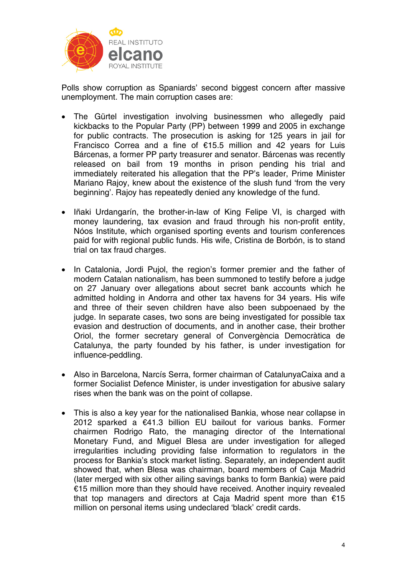

Polls show corruption as Spaniards' second biggest concern after massive unemployment. The main corruption cases are:

- The Gürtel investigation involving businessmen who allegedly paid kickbacks to the Popular Party (PP) between 1999 and 2005 in exchange for public contracts. The prosecution is asking for 125 years in jail for Francisco Correa and a fine of €15.5 million and 42 years for Luis Bárcenas, a former PP party treasurer and senator. Bárcenas was recently released on bail from 19 months in prison pending his trial and immediately reiterated his allegation that the PP's leader, Prime Minister Mariano Rajoy, knew about the existence of the slush fund 'from the very beginning'. Rajoy has repeatedly denied any knowledge of the fund.
- Iñaki Urdangarín, the brother-in-law of King Felipe VI, is charged with money laundering, tax evasion and fraud through his non-profit entity, Nóos Institute, which organised sporting events and tourism conferences paid for with regional public funds. His wife, Cristina de Borbón, is to stand trial on tax fraud charges.
- In Catalonia, Jordi Pujol, the region's former premier and the father of modern Catalan nationalism, has been summoned to testify before a judge on 27 January over allegations about secret bank accounts which he admitted holding in Andorra and other tax havens for 34 years. His wife and three of their seven children have also been subpoenaed by the judge. In separate cases, two sons are being investigated for possible tax evasion and destruction of documents, and in another case, their brother Oriol, the former secretary general of Convergència Democràtica de Catalunya, the party founded by his father, is under investigation for influence-peddling.
- Also in Barcelona, Narcís Serra, former chairman of CatalunyaCaixa and a former Socialist Defence Minister, is under investigation for abusive salary rises when the bank was on the point of collapse.
- This is also a key year for the nationalised Bankia, whose near collapse in 2012 sparked a €41.3 billion EU bailout for various banks. Former chairmen Rodrigo Rato, the managing director of the International Monetary Fund, and Miguel Blesa are under investigation for alleged irregularities including providing false information to regulators in the process for Bankia's stock market listing. Separately, an independent audit showed that, when Blesa was chairman, board members of Caja Madrid (later merged with six other ailing savings banks to form Bankia) were paid €15 million more than they should have received. Another inquiry revealed that top managers and directors at Caja Madrid spent more than €15 million on personal items using undeclared 'black' credit cards.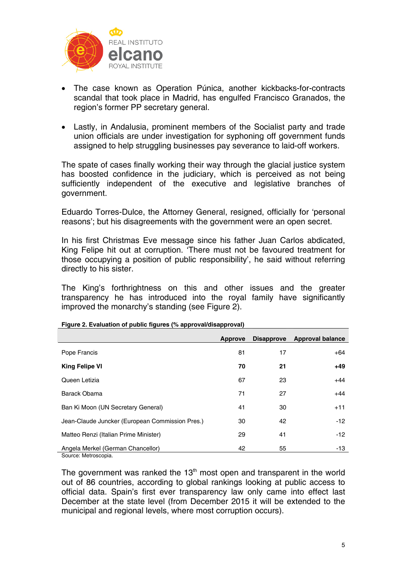

- The case known as Operation Púnica, another kickbacks-for-contracts scandal that took place in Madrid, has engulfed Francisco Granados, the region's former PP secretary general.
- Lastly, in Andalusia, prominent members of the Socialist party and trade union officials are under investigation for syphoning off government funds assigned to help struggling businesses pay severance to laid-off workers.

The spate of cases finally working their way through the glacial justice system has boosted confidence in the judiciary, which is perceived as not being sufficiently independent of the executive and legislative branches of government.

Eduardo Torres-Dulce, the Attorney General, resigned, officially for 'personal reasons'; but his disagreements with the government were an open secret.

In his first Christmas Eve message since his father Juan Carlos abdicated, King Felipe hit out at corruption. 'There must not be favoured treatment for those occupying a position of public responsibility', he said without referring directly to his sister.

The King's forthrightness on this and other issues and the greater transparency he has introduced into the royal family have significantly improved the monarchy's standing (see Figure 2).

|                                                 | Approve |    | Disapprove Approval balance |
|-------------------------------------------------|---------|----|-----------------------------|
| Pope Francis                                    | 81      | 17 | $+64$                       |
| <b>King Felipe VI</b>                           | 70      | 21 | $+49$                       |
| Queen Letizia                                   | 67      | 23 | $+44$                       |
| Barack Obama                                    | 71      | 27 | $+44$                       |
| Ban Ki Moon (UN Secretary General)              | 41      | 30 | $+11$                       |
| Jean-Claude Juncker (European Commission Pres.) | 30      | 42 | $-12$                       |
| Matteo Renzi (Italian Prime Minister)           | 29      | 41 | $-12$                       |
| Angela Merkel (German Chancellor)               | 42      | 55 | $-13$                       |

**Figure 2. Evaluation of public figures (% approval/disapproval)** 

Source: Metroscopia.

The government was ranked the  $13<sup>th</sup>$  most open and transparent in the world out of 86 countries, according to global rankings looking at public access to official data. Spain's first ever transparency law only came into effect last December at the state level (from December 2015 it will be extended to the municipal and regional levels, where most corruption occurs).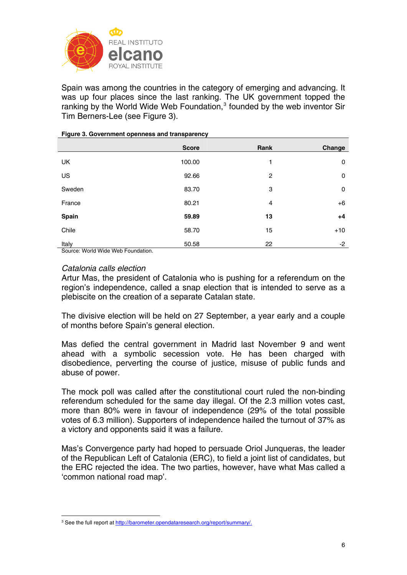

Spain was among the countries in the category of emerging and advancing. It was up four places since the last ranking. The UK government topped the ranking by the World Wide Web Foundation, $3$  founded by the web inventor Sir Tim Berners-Lee (see Figure 3).

|        | <b>Score</b> | Rank           | Change      |
|--------|--------------|----------------|-------------|
| UK     | 100.00       | 1              | 0           |
| US     | 92.66        | $\overline{2}$ | $\mathbf 0$ |
| Sweden | 83.70        | 3              | $\mathbf 0$ |
| France | 80.21        | $\overline{4}$ | $+6$        |
| Spain  | 59.89        | 13             | $+4$        |
| Chile  | 58.70        | 15             | $+10$       |
| Italy  | 50.58        | 22             | -2          |

#### **Figure 3. Government openness and transparency**

Source: World Wide Web Foundation.

### *Catalonia calls election*

<u>.</u>

Artur Mas, the president of Catalonia who is pushing for a referendum on the region's independence, called a snap election that is intended to serve as a plebiscite on the creation of a separate Catalan state.

The divisive election will be held on 27 September, a year early and a couple of months before Spain's general election.

Mas defied the central government in Madrid last November 9 and went ahead with a symbolic secession vote. He has been charged with disobedience, perverting the course of justice, misuse of public funds and abuse of power.

The mock poll was called after the constitutional court ruled the non-binding referendum scheduled for the same day illegal. Of the 2.3 million votes cast, more than 80% were in favour of independence (29% of the total possible votes of 6.3 million). Supporters of independence hailed the turnout of 37% as a victory and opponents said it was a failure.

Mas's Convergence party had hoped to persuade Oriol Junqueras, the leader of the Republican Left of Catalonia (ERC), to field a joint list of candidates, but the ERC rejected the idea. The two parties, however, have what Mas called a 'common national road map'.

<span id="page-5-0"></span><sup>&</sup>lt;sup>3</sup> See the full report at [http://barometer.opendataresearch.org/report/summary/.](http://barometer.opendataresearch.org/report/summary/)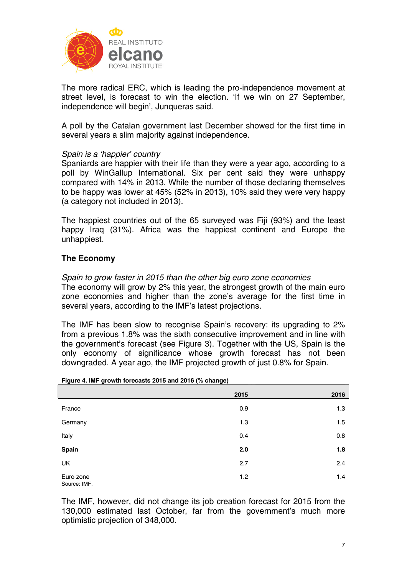

The more radical ERC, which is leading the pro-independence movement at street level, is forecast to win the election. 'If we win on 27 September, independence will begin', Junqueras said.

A poll by the Catalan government last December showed for the first time in several years a slim majority against independence.

## *Spain is a 'happier' country*

Spaniards are happier with their life than they were a year ago, according to a poll by WinGallup International. Six per cent said they were unhappy compared with 14% in 2013. While the number of those declaring themselves to be happy was lower at 45% (52% in 2013), 10% said they were very happy (a category not included in 2013).

The happiest countries out of the 65 surveyed was Fiji (93%) and the least happy Iraq (31%). Africa was the happiest continent and Europe the unhappiest.

# **The Economy**

*Spain to grow faster in 2015 than the other big euro zone economies* 

The economy will grow by 2% this year, the strongest growth of the main euro zone economies and higher than the zone's average for the first time in several years, according to the IMF's latest projections.

The IMF has been slow to recognise Spain's recovery: its upgrading to 2% from a previous 1.8% was the sixth consecutive improvement and in line with the government's forecast (see Figure 3). Together with the US, Spain is the only economy of significance whose growth forecast has not been downgraded. A year ago, the IMF projected growth of just 0.8% for Spain.

|              | 2015 | 2016 |
|--------------|------|------|
| France       | 0.9  | 1.3  |
| Germany      | 1.3  | 1.5  |
| Italy        | 0.4  | 0.8  |
| <b>Spain</b> | 2.0  | 1.8  |
| UK           | 2.7  | 2.4  |
| Euro zone    | 1.2  | 1.4  |
| Source: IMF  |      |      |

### **Figure 4. IMF growth forecasts 2015 and 2016 (% change)**

The IMF, however, did not change its job creation forecast for 2015 from the 130,000 estimated last October, far from the government's much more optimistic projection of 348,000.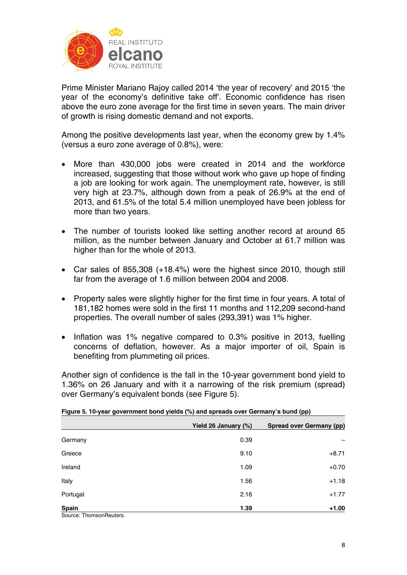

Prime Minister Mariano Rajoy called 2014 'the year of recovery' and 2015 'the year of the economy's definitive take off'. Economic confidence has risen above the euro zone average for the first time in seven years. The main driver of growth is rising domestic demand and not exports.

Among the positive developments last year, when the economy grew by 1.4% (versus a euro zone average of 0.8%), were:

- More than 430,000 jobs were created in 2014 and the workforce increased, suggesting that those without work who gave up hope of finding a job are looking for work again. The unemployment rate, however, is still very high at 23.7%, although down from a peak of 26.9% at the end of 2013, and 61.5% of the total 5.4 million unemployed have been jobless for more than two years.
- The number of tourists looked like setting another record at around 65 million, as the number between January and October at 61.7 million was higher than for the whole of 2013.
- Car sales of 855,308 (+18.4%) were the highest since 2010, though still far from the average of 1.6 million between 2004 and 2008.
- Property sales were slightly higher for the first time in four years. A total of 181,182 homes were sold in the first 11 months and 112,209 second-hand properties. The overall number of sales (293,391) was 1% higher.
- Inflation was 1% negative compared to 0.3% positive in 2013, fuelling concerns of deflation, however. As a major importer of oil, Spain is benefiting from plummeting oil prices.

Another sign of confidence is the fall in the 10-year government bond yield to 1.36% on 26 January and with it a narrowing of the risk premium (spread) over Germany's equivalent bonds (see Figure 5).

|                                                        | Yield 26 January (%) | <b>Spread over Germany (pp)</b> |
|--------------------------------------------------------|----------------------|---------------------------------|
| Germany                                                | 0.39                 |                                 |
| Greece                                                 | 9.10                 | $+8.71$                         |
| Ireland                                                | 1.09                 | $+0.70$                         |
| Italy                                                  | 1.56                 | $+1.18$                         |
| Portugal                                               | 2.16                 | $+1.77$                         |
| <b>Spain</b><br>$\bigcap$ The second configurations of | 1.39                 | $+1.00$                         |

**Figure 5. 10-year government bond yields (%) and spreads over Germany's bund (pp)** 

Source: ThomsonReuters.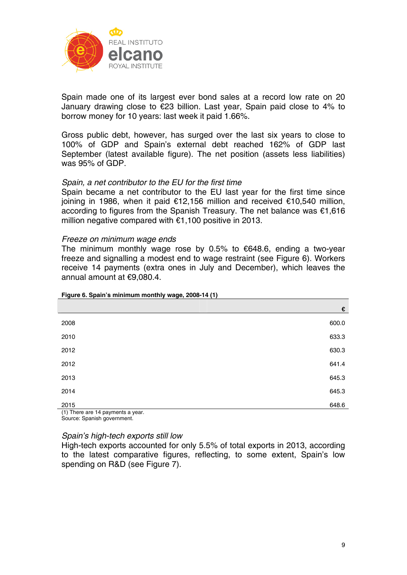

Spain made one of its largest ever bond sales at a record low rate on 20 January drawing close to €23 billion. Last year, Spain paid close to 4% to borrow money for 10 years: last week it paid 1.66%.

Gross public debt, however, has surged over the last six years to close to 100% of GDP and Spain's external debt reached 162% of GDP last September (latest available figure). The net position (assets less liabilities) was 95% of GDP.

### *Spain, a net contributor to the EU for the first time*

Spain became a net contributor to the EU last year for the first time since joining in 1986, when it paid €12,156 million and received €10,540 million, according to figures from the Spanish Treasury. The net balance was €1,616 million negative compared with €1,100 positive in 2013.

### *Freeze on minimum wage ends*

The minimum monthly wage rose by 0.5% to  $€648.6$ , ending a two-year freeze and signalling a modest end to wage restraint (see Figure 6). Workers receive 14 payments (extra ones in July and December), which leaves the annual amount at €9,080.4.

|                                   | €     |
|-----------------------------------|-------|
| 2008                              | 600.0 |
| 2010                              | 633.3 |
| 2012                              | 630.3 |
| 2012                              | 641.4 |
| 2013                              | 645.3 |
| 2014                              | 645.3 |
| 2015                              | 648.6 |
| (1) There are 14 payments a year. |       |

**Figure 6. Spain's minimum monthly wage, 2008-14 (1)** 

(1) There are 14 payments a year. Source: Spanish government.

### *Spain's high-tech exports still low*

High-tech exports accounted for only 5.5% of total exports in 2013, according to the latest comparative figures, reflecting, to some extent, Spain's low spending on R&D (see Figure 7).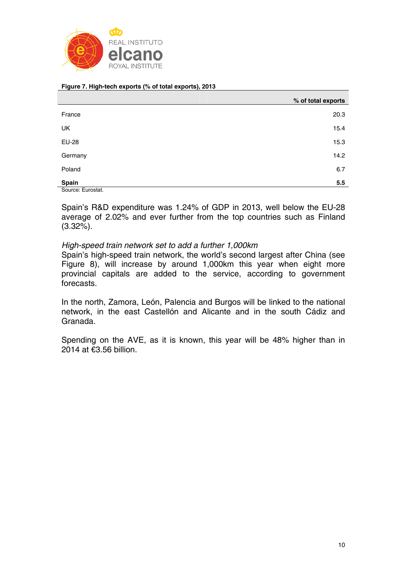

#### **Figure 7. High-tech exports (% of total exports), 2013**

|                   | % of total exports |
|-------------------|--------------------|
| France            | 20.3               |
| UK                | 15.4               |
| <b>EU-28</b>      | 15.3               |
| Germany           | 14.2               |
| Poland            | 6.7                |
| Spain             | 5.5                |
| Source: Eurostat. |                    |

Spain's R&D expenditure was 1.24% of GDP in 2013, well below the EU-28 average of 2.02% and ever further from the top countries such as Finland (3.32%).

### *High-speed train network set to add a further 1,000km*

Spain's high-speed train network, the world's second largest after China (see Figure 8), will increase by around 1,000km this year when eight more provincial capitals are added to the service, according to government forecasts.

In the north, Zamora, León, Palencia and Burgos will be linked to the national network, in the east Castellón and Alicante and in the south Cádiz and Granada.

Spending on the AVE, as it is known, this year will be 48% higher than in 2014 at €3.56 billion.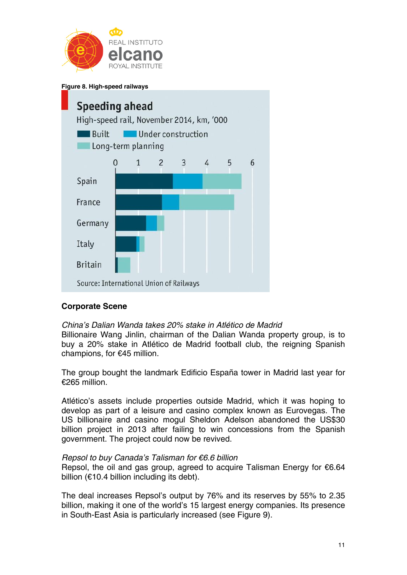

**Figure 8. High-speed railways** 



## **Corporate Scene**

*China's Dalian Wanda takes 20% stake in Atlético de Madrid*  Billionaire Wang Jinlin, chairman of the Dalian Wanda property group, is to buy a 20% stake in Atlético de Madrid football club, the reigning Spanish champions, for €45 million.

The group bought the landmark Edificio España tower in Madrid last year for €265 million.

Atlético's assets include properties outside Madrid, which it was hoping to develop as part of a leisure and casino complex known as Eurovegas. The US billionaire and casino mogul Sheldon Adelson abandoned the US\$30 billion project in 2013 after failing to win concessions from the Spanish government. The project could now be revived.

### *Repsol to buy Canada's Talisman for €6.6 billion*

Repsol, the oil and gas group, agreed to acquire Talisman Energy for €6.64 billion (€10.4 billion including its debt).

The deal increases Repsol's output by 76% and its reserves by 55% to 2.35 billion, making it one of the world's 15 largest energy companies. Its presence in South-East Asia is particularly increased (see Figure 9).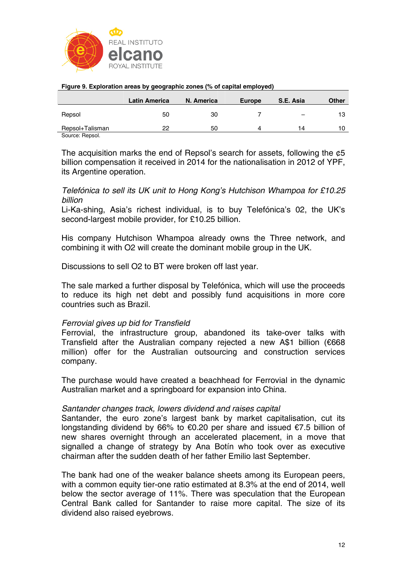

|                 | <b>Latin America</b> | N. America | Europe | S.E. Asia | <b>Other</b> |
|-----------------|----------------------|------------|--------|-----------|--------------|
| Repsol          | 50                   | 30         |        |           | 13           |
| Repsol+Talisman | 22                   | 50         | Δ      | 14        | 10           |
| Source: Repsol. |                      |            |        |           |              |

#### **Figure 9. Exploration areas by geographic zones (% of capital employed)**

The acquisition marks the end of Repsol's search for assets, following the ¢5 billion compensation it received in 2014 for the nationalisation in 2012 of YPF, its Argentine operation.

*Telefónica to sell its UK unit to Hong Kong's Hutchison Whampoa for £10.25 billion*

Li-Ka-shing, Asia's richest individual, is to buy Telefónica's 02, the UK's second-largest mobile provider, for £10.25 billion.

His company Hutchison Whampoa already owns the Three network, and combining it with O2 will create the dominant mobile group in the UK.

Discussions to sell O2 to BT were broken off last year.

The sale marked a further disposal by Telefónica, which will use the proceeds to reduce its high net debt and possibly fund acquisitions in more core countries such as Brazil.

## *Ferrovial gives up bid for Transfield*

Ferrovial, the infrastructure group, abandoned its take-over talks with Transfield after the Australian company rejected a new A\$1 billion (€668 million) offer for the Australian outsourcing and construction services company.

The purchase would have created a beachhead for Ferrovial in the dynamic Australian market and a springboard for expansion into China.

## *Santander changes track, lowers dividend and raises capital*

Santander, the euro zone's largest bank by market capitalisation, cut its longstanding dividend by 66% to €0.20 per share and issued €7.5 billion of new shares overnight through an accelerated placement, in a move that signalled a change of strategy by Ana Botín who took over as executive chairman after the sudden death of her father Emilio last September.

The bank had one of the weaker balance sheets among its European peers, with a common equity tier-one ratio estimated at 8.3% at the end of 2014, well below the sector average of 11%. There was speculation that the European Central Bank called for Santander to raise more capital. The size of its dividend also raised eyebrows.